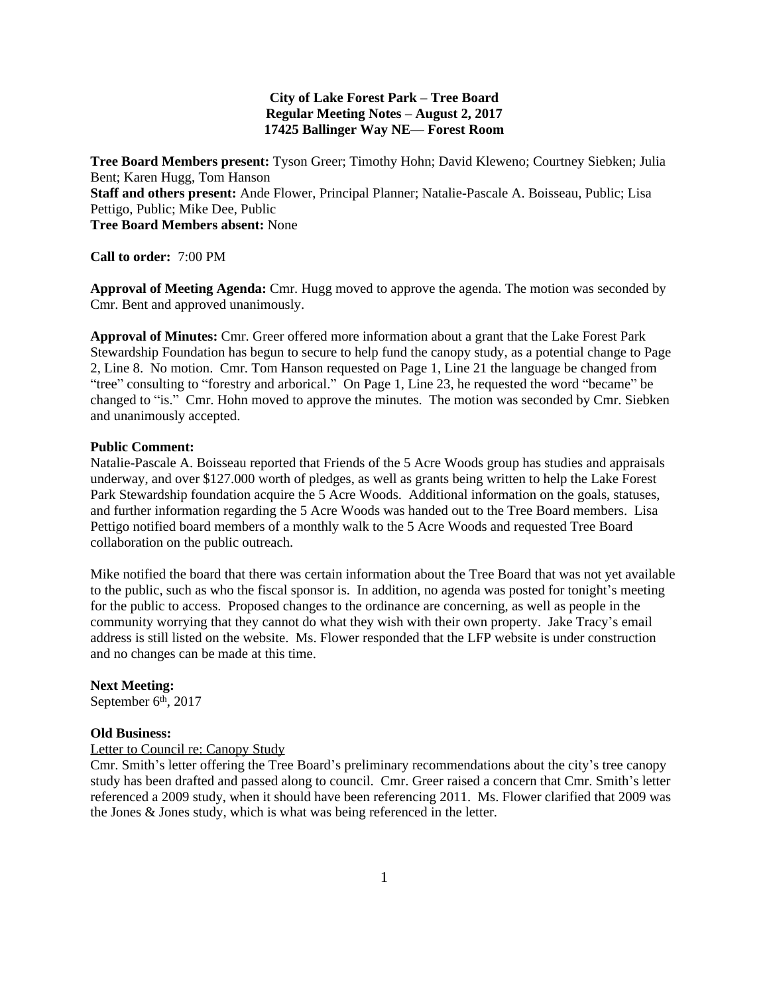# **City of Lake Forest Park – Tree Board Regular Meeting Notes – August 2, 2017 17425 Ballinger Way NE— Forest Room**

**Tree Board Members present:** Tyson Greer; Timothy Hohn; David Kleweno; Courtney Siebken; Julia Bent; Karen Hugg, Tom Hanson **Staff and others present:** Ande Flower, Principal Planner; Natalie-Pascale A. Boisseau, Public; Lisa Pettigo, Public; Mike Dee, Public **Tree Board Members absent:** None

**Call to order:** 7:00 PM

**Approval of Meeting Agenda:** Cmr. Hugg moved to approve the agenda. The motion was seconded by Cmr. Bent and approved unanimously.

**Approval of Minutes:** Cmr. Greer offered more information about a grant that the Lake Forest Park Stewardship Foundation has begun to secure to help fund the canopy study, as a potential change to Page 2, Line 8. No motion. Cmr. Tom Hanson requested on Page 1, Line 21 the language be changed from "tree" consulting to "forestry and arborical." On Page 1, Line 23, he requested the word "became" be changed to "is." Cmr. Hohn moved to approve the minutes. The motion was seconded by Cmr. Siebken and unanimously accepted.

### **Public Comment:**

Natalie-Pascale A. Boisseau reported that Friends of the 5 Acre Woods group has studies and appraisals underway, and over \$127.000 worth of pledges, as well as grants being written to help the Lake Forest Park Stewardship foundation acquire the 5 Acre Woods. Additional information on the goals, statuses, and further information regarding the 5 Acre Woods was handed out to the Tree Board members. Lisa Pettigo notified board members of a monthly walk to the 5 Acre Woods and requested Tree Board collaboration on the public outreach.

Mike notified the board that there was certain information about the Tree Board that was not yet available to the public, such as who the fiscal sponsor is. In addition, no agenda was posted for tonight's meeting for the public to access. Proposed changes to the ordinance are concerning, as well as people in the community worrying that they cannot do what they wish with their own property. Jake Tracy's email address is still listed on the website. Ms. Flower responded that the LFP website is under construction and no changes can be made at this time.

#### **Next Meeting:**

September 6<sup>th</sup>, 2017

# **Old Business:**

# Letter to Council re: Canopy Study

Cmr. Smith's letter offering the Tree Board's preliminary recommendations about the city's tree canopy study has been drafted and passed along to council. Cmr. Greer raised a concern that Cmr. Smith's letter referenced a 2009 study, when it should have been referencing 2011. Ms. Flower clarified that 2009 was the Jones & Jones study, which is what was being referenced in the letter.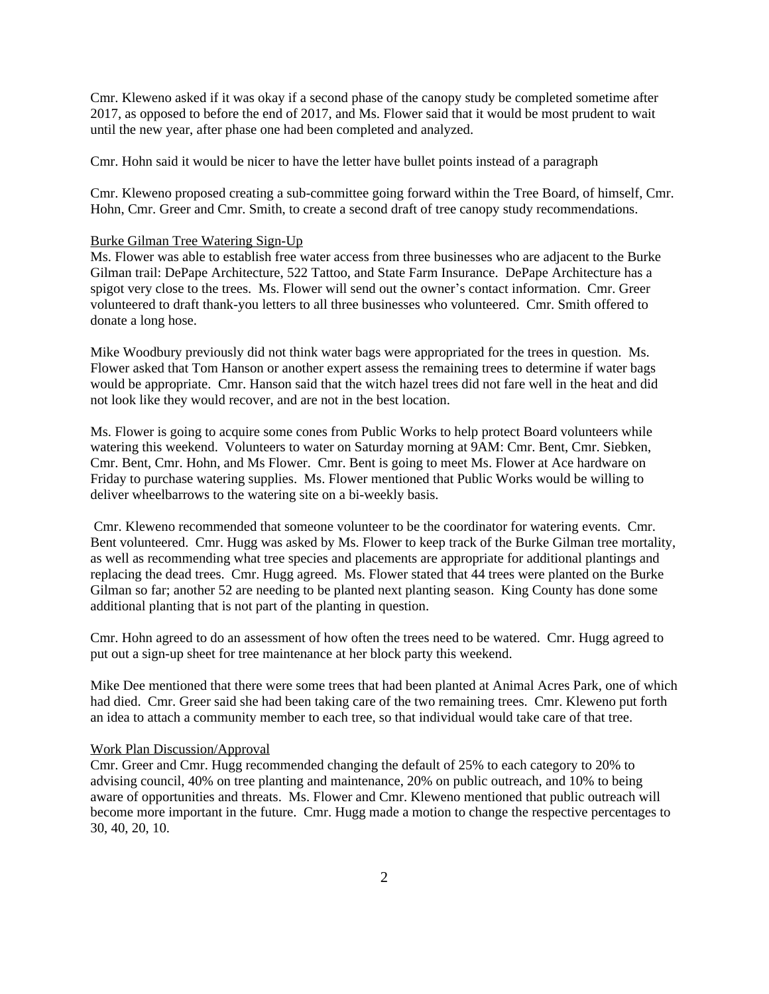Cmr. Kleweno asked if it was okay if a second phase of the canopy study be completed sometime after 2017, as opposed to before the end of 2017, and Ms. Flower said that it would be most prudent to wait until the new year, after phase one had been completed and analyzed.

Cmr. Hohn said it would be nicer to have the letter have bullet points instead of a paragraph

Cmr. Kleweno proposed creating a sub-committee going forward within the Tree Board, of himself, Cmr. Hohn, Cmr. Greer and Cmr. Smith, to create a second draft of tree canopy study recommendations.

# Burke Gilman Tree Watering Sign-Up

Ms. Flower was able to establish free water access from three businesses who are adjacent to the Burke Gilman trail: DePape Architecture, 522 Tattoo, and State Farm Insurance. DePape Architecture has a spigot very close to the trees. Ms. Flower will send out the owner's contact information. Cmr. Greer volunteered to draft thank-you letters to all three businesses who volunteered. Cmr. Smith offered to donate a long hose.

Mike Woodbury previously did not think water bags were appropriated for the trees in question. Ms. Flower asked that Tom Hanson or another expert assess the remaining trees to determine if water bags would be appropriate. Cmr. Hanson said that the witch hazel trees did not fare well in the heat and did not look like they would recover, and are not in the best location.

Ms. Flower is going to acquire some cones from Public Works to help protect Board volunteers while watering this weekend. Volunteers to water on Saturday morning at 9AM: Cmr. Bent, Cmr. Siebken, Cmr. Bent, Cmr. Hohn, and Ms Flower. Cmr. Bent is going to meet Ms. Flower at Ace hardware on Friday to purchase watering supplies. Ms. Flower mentioned that Public Works would be willing to deliver wheelbarrows to the watering site on a bi-weekly basis.

 Cmr. Kleweno recommended that someone volunteer to be the coordinator for watering events. Cmr. Bent volunteered. Cmr. Hugg was asked by Ms. Flower to keep track of the Burke Gilman tree mortality, as well as recommending what tree species and placements are appropriate for additional plantings and replacing the dead trees. Cmr. Hugg agreed. Ms. Flower stated that 44 trees were planted on the Burke Gilman so far; another 52 are needing to be planted next planting season. King County has done some additional planting that is not part of the planting in question.

Cmr. Hohn agreed to do an assessment of how often the trees need to be watered. Cmr. Hugg agreed to put out a sign-up sheet for tree maintenance at her block party this weekend.

Mike Dee mentioned that there were some trees that had been planted at Animal Acres Park, one of which had died. Cmr. Greer said she had been taking care of the two remaining trees. Cmr. Kleweno put forth an idea to attach a community member to each tree, so that individual would take care of that tree.

#### Work Plan Discussion/Approval

Cmr. Greer and Cmr. Hugg recommended changing the default of 25% to each category to 20% to advising council, 40% on tree planting and maintenance, 20% on public outreach, and 10% to being aware of opportunities and threats. Ms. Flower and Cmr. Kleweno mentioned that public outreach will become more important in the future. Cmr. Hugg made a motion to change the respective percentages to 30, 40, 20, 10.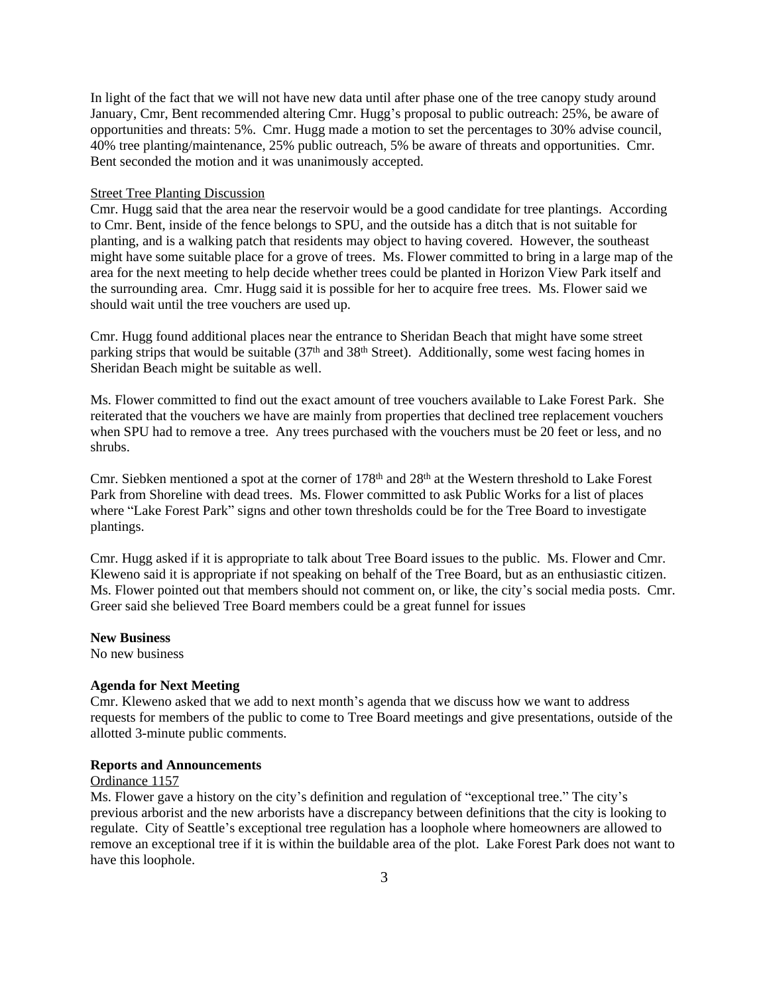In light of the fact that we will not have new data until after phase one of the tree canopy study around January, Cmr, Bent recommended altering Cmr. Hugg's proposal to public outreach: 25%, be aware of opportunities and threats: 5%. Cmr. Hugg made a motion to set the percentages to 30% advise council, 40% tree planting/maintenance, 25% public outreach, 5% be aware of threats and opportunities. Cmr. Bent seconded the motion and it was unanimously accepted.

# Street Tree Planting Discussion

Cmr. Hugg said that the area near the reservoir would be a good candidate for tree plantings. According to Cmr. Bent, inside of the fence belongs to SPU, and the outside has a ditch that is not suitable for planting, and is a walking patch that residents may object to having covered. However, the southeast might have some suitable place for a grove of trees. Ms. Flower committed to bring in a large map of the area for the next meeting to help decide whether trees could be planted in Horizon View Park itself and the surrounding area. Cmr. Hugg said it is possible for her to acquire free trees. Ms. Flower said we should wait until the tree vouchers are used up.

Cmr. Hugg found additional places near the entrance to Sheridan Beach that might have some street parking strips that would be suitable (37<sup>th</sup> and 38<sup>th</sup> Street). Additionally, some west facing homes in Sheridan Beach might be suitable as well.

Ms. Flower committed to find out the exact amount of tree vouchers available to Lake Forest Park. She reiterated that the vouchers we have are mainly from properties that declined tree replacement vouchers when SPU had to remove a tree. Any trees purchased with the vouchers must be 20 feet or less, and no shrubs.

Cmr. Siebken mentioned a spot at the corner of 178<sup>th</sup> and 28<sup>th</sup> at the Western threshold to Lake Forest Park from Shoreline with dead trees. Ms. Flower committed to ask Public Works for a list of places where "Lake Forest Park" signs and other town thresholds could be for the Tree Board to investigate plantings.

Cmr. Hugg asked if it is appropriate to talk about Tree Board issues to the public. Ms. Flower and Cmr. Kleweno said it is appropriate if not speaking on behalf of the Tree Board, but as an enthusiastic citizen. Ms. Flower pointed out that members should not comment on, or like, the city's social media posts. Cmr. Greer said she believed Tree Board members could be a great funnel for issues

#### **New Business**

No new business

# **Agenda for Next Meeting**

Cmr. Kleweno asked that we add to next month's agenda that we discuss how we want to address requests for members of the public to come to Tree Board meetings and give presentations, outside of the allotted 3-minute public comments.

#### **Reports and Announcements**

# Ordinance 1157

Ms. Flower gave a history on the city's definition and regulation of "exceptional tree." The city's previous arborist and the new arborists have a discrepancy between definitions that the city is looking to regulate. City of Seattle's exceptional tree regulation has a loophole where homeowners are allowed to remove an exceptional tree if it is within the buildable area of the plot. Lake Forest Park does not want to have this loophole.